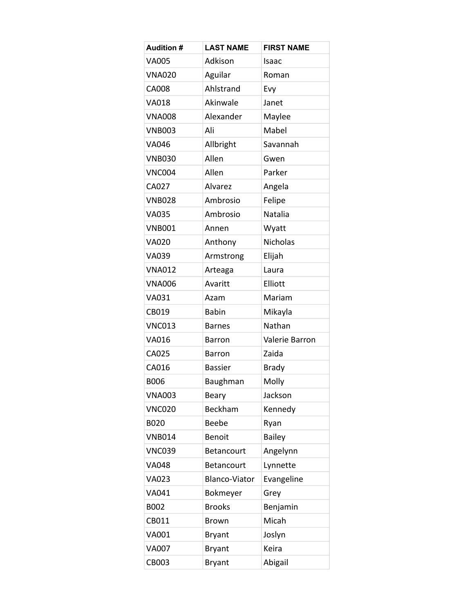| <b>Audition #</b> | <b>LAST NAME</b>     | <b>FIRST NAME</b> |
|-------------------|----------------------|-------------------|
| <b>VA005</b>      | Adkison              | Isaac             |
| <b>VNA020</b>     | Aguilar              | Roman             |
| <b>CA008</b>      | Ahlstrand            | Evy               |
| <b>VA018</b>      | Akinwale             | Janet             |
| <b>VNA008</b>     | Alexander            | Maylee            |
| <b>VNB003</b>     | Ali                  | Mabel             |
| VA046             | Allbright            | Savannah          |
| <b>VNB030</b>     | Allen                | Gwen              |
| <b>VNC004</b>     | Allen                | Parker            |
| CA027             | Alvarez              | Angela            |
| <b>VNB028</b>     | Ambrosio             | Felipe            |
| <b>VA035</b>      | Ambrosio             | <b>Natalia</b>    |
| <b>VNB001</b>     | Annen                | Wyatt             |
| <b>VA020</b>      | Anthony              | <b>Nicholas</b>   |
| <b>VA039</b>      | Armstrong            | Elijah            |
| <b>VNA012</b>     | Arteaga              | Laura             |
| <b>VNA006</b>     | Avaritt              | Elliott           |
| <b>VA031</b>      | Azam                 | Mariam            |
| CB019             | <b>Babin</b>         | Mikayla           |
| <b>VNC013</b>     | <b>Barnes</b>        | Nathan            |
| <b>VA016</b>      | <b>Barron</b>        | Valerie Barron    |
| CA025             | <b>Barron</b>        | Zaida             |
| CA016             | <b>Bassier</b>       | <b>Brady</b>      |
| <b>B006</b>       | Baughman             | Molly             |
| <b>VNA003</b>     | Beary                | Jackson           |
| <b>VNC020</b>     | Beckham              | Kennedy           |
| <b>B020</b>       | Beebe                | Ryan              |
| <b>VNB014</b>     | Benoit               | <b>Bailey</b>     |
| <b>VNC039</b>     | Betancourt           | Angelynn          |
| <b>VA048</b>      | Betancourt           | Lynnette          |
| <b>VA023</b>      | <b>Blanco-Viator</b> | Evangeline        |
| VA041             | Bokmeyer             | Grey              |
| B002              | <b>Brooks</b>        | Benjamin          |
| CB011             | <b>Brown</b>         | Micah             |
| VA001             | <b>Bryant</b>        | Joslyn            |
| <b>VA007</b>      | <b>Bryant</b>        | Keira             |
| CB003             | <b>Bryant</b>        | Abigail           |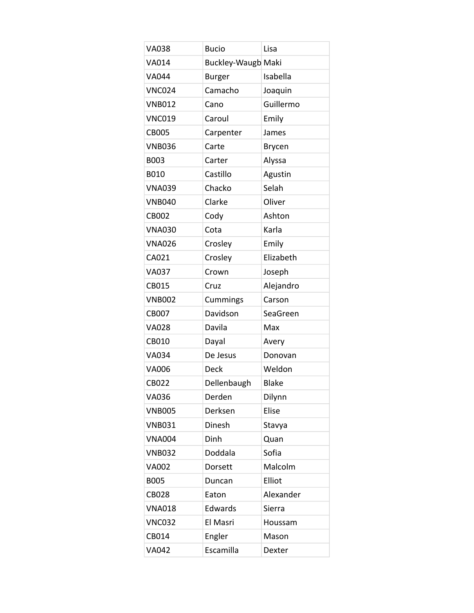| <b>VA038</b>  | <b>Bucio</b>              | Lisa         |
|---------------|---------------------------|--------------|
| VA014         | <b>Buckley-Waugb Maki</b> |              |
| <b>VA044</b>  | <b>Burger</b>             | Isabella     |
| <b>VNC024</b> | Camacho                   | Joaquin      |
| <b>VNB012</b> | Cano                      | Guillermo    |
| <b>VNC019</b> | Caroul                    | Emily        |
| <b>CB005</b>  | Carpenter                 | James        |
| <b>VNB036</b> | Carte                     | Brycen       |
| B003          | Carter                    | Alyssa       |
| <b>B010</b>   | Castillo                  | Agustin      |
| <b>VNA039</b> | Chacko                    | Selah        |
| <b>VNB040</b> | Clarke                    | Oliver       |
| <b>CB002</b>  | Cody                      | Ashton       |
| <b>VNA030</b> | Cota                      | Karla        |
| <b>VNA026</b> | Crosley                   | Emily        |
| CA021         | Crosley                   | Elizabeth    |
| <b>VA037</b>  | Crown                     | Joseph       |
| CB015         | Cruz                      | Alejandro    |
| <b>VNB002</b> | Cummings                  | Carson       |
| <b>CB007</b>  | Davidson                  | SeaGreen     |
| <b>VA028</b>  | Davila                    | Max          |
| CB010         | Dayal                     | Avery        |
| <b>VA034</b>  | De Jesus                  | Donovan      |
| <b>VA006</b>  | <b>Deck</b>               | Weldon       |
| <b>CB022</b>  | Dellenbaugh               | <b>Blake</b> |
| <b>VA036</b>  | Derden                    | Dilynn       |
| <b>VNB005</b> | Derksen                   | Elise        |
| <b>VNB031</b> | Dinesh                    | Stavya       |
| <b>VNA004</b> | Dinh                      | Quan         |
| <b>VNB032</b> | Doddala                   | Sofia        |
| <b>VA002</b>  | Dorsett                   | Malcolm      |
| <b>B005</b>   | Duncan                    | Elliot       |
| <b>CB028</b>  | Eaton                     | Alexander    |
| <b>VNA018</b> | Edwards                   | Sierra       |
| <b>VNC032</b> | El Masri                  | Houssam      |
| CB014         | Engler                    | Mason        |
| <b>VA042</b>  | Escamilla                 | Dexter       |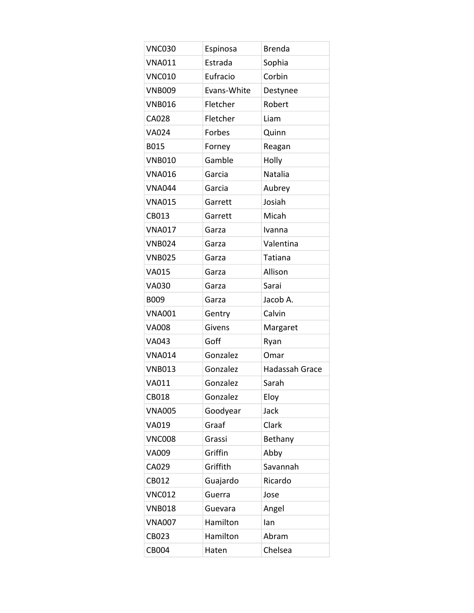| <b>VNC030</b> | Espinosa    | <b>Brenda</b>  |
|---------------|-------------|----------------|
| <b>VNA011</b> | Estrada     | Sophia         |
| <b>VNC010</b> | Eufracio    | Corbin         |
| <b>VNB009</b> | Evans-White | Destynee       |
| <b>VNB016</b> | Fletcher    | Robert         |
| CA028         | Fletcher    | Liam           |
| <b>VA024</b>  | Forbes      | Quinn          |
| B015          | Forney      | Reagan         |
| <b>VNB010</b> | Gamble      | Holly          |
| <b>VNA016</b> | Garcia      | Natalia        |
| <b>VNA044</b> | Garcia      | Aubrey         |
| <b>VNA015</b> | Garrett     | Josiah         |
| CB013         | Garrett     | Micah          |
| <b>VNA017</b> | Garza       | Ivanna         |
| <b>VNB024</b> | Garza       | Valentina      |
| <b>VNB025</b> | Garza       | Tatiana        |
| <b>VA015</b>  | Garza       | Allison        |
| <b>VA030</b>  | Garza       | Sarai          |
| B009          | Garza       | Jacob A.       |
| <b>VNA001</b> | Gentry      | Calvin         |
| <b>VA008</b>  | Givens      | Margaret       |
| VA043         | Goff        | Ryan           |
| <b>VNA014</b> | Gonzalez    | Omar           |
| <b>VNB013</b> | Gonzalez    | Hadassah Grace |
| <b>VA011</b>  | Gonzalez    | Sarah          |
| CB018         | Gonzalez    | Eloy           |
| <b>VNA005</b> | Goodyear    | Jack           |
| VA019         | Graaf       | Clark          |
| <b>VNC008</b> | Grassi      | Bethany        |
| VA009         | Griffin     | Abby           |
| CA029         | Griffith    | Savannah       |
| CB012         | Guajardo    | Ricardo        |
| <b>VNC012</b> | Guerra      | Jose           |
| <b>VNB018</b> | Guevara     | Angel          |
| <b>VNA007</b> | Hamilton    | lan            |
| CB023         | Hamilton    | Abram          |
| CB004         | Haten       | Chelsea        |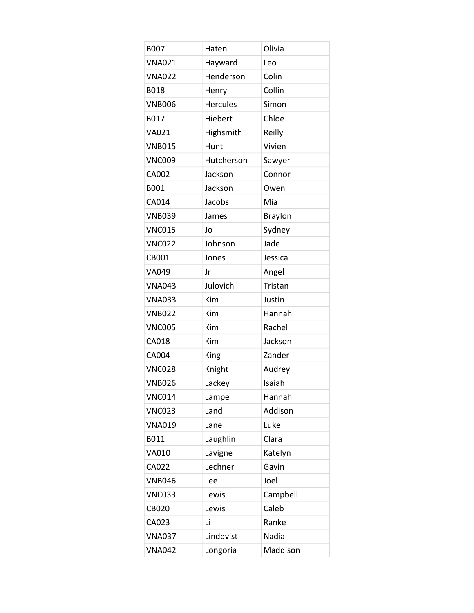| <b>B007</b>   | Haten           | Olivia         |
|---------------|-----------------|----------------|
| <b>VNA021</b> | Hayward         | Leo            |
| <b>VNA022</b> | Henderson       | Colin          |
| <b>B018</b>   | Henry           | Collin         |
| <b>VNB006</b> | <b>Hercules</b> | Simon          |
| B017          | Hiebert         | Chloe          |
| VA021         | Highsmith       | Reilly         |
| <b>VNB015</b> | Hunt            | Vivien         |
| <b>VNC009</b> | Hutcherson      | Sawyer         |
| CA002         | Jackson         | Connor         |
| B001          | Jackson         | Owen           |
| CA014         | Jacobs          | Mia            |
| <b>VNB039</b> | James           | <b>Braylon</b> |
| <b>VNC015</b> | Jo              | Sydney         |
| <b>VNC022</b> | Johnson         | Jade           |
| CB001         | Jones           | Jessica        |
| VA049         | Jr              | Angel          |
| <b>VNA043</b> | Julovich        | Tristan        |
| <b>VNA033</b> | Kim             | Justin         |
| <b>VNB022</b> | Kim             | Hannah         |
| <b>VNC005</b> | Kim             | Rachel         |
| CA018         | Kim             | Jackson        |
| <b>CA004</b>  | King            | Zander         |
| <b>VNC028</b> | Knight          | Audrey         |
| <b>VNB026</b> | Lackey          | Isaiah         |
| <b>VNC014</b> | Lampe           | Hannah         |
| <b>VNC023</b> | Land            | Addison        |
| <b>VNA019</b> | Lane            | Luke           |
| B011          | Laughlin        | Clara          |
| VA010         | Lavigne         | Katelyn        |
| CA022         | Lechner         | Gavin          |
| <b>VNB046</b> | Lee             | Joel           |
| <b>VNC033</b> | Lewis           | Campbell       |
| <b>CB020</b>  | Lewis           | Caleb          |
| CA023         | Li              | Ranke          |
| <b>VNA037</b> | Lindqvist       | Nadia          |
| <b>VNA042</b> | Longoria        | Maddison       |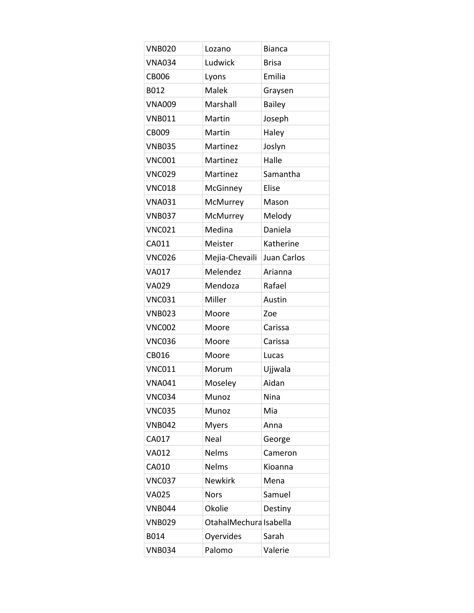| <b>VNB020</b> | Lozano                 | <b>Bianca</b> |
|---------------|------------------------|---------------|
| <b>VNA034</b> | Ludwick                | <b>Brisa</b>  |
| <b>CB006</b>  | Lyons                  | Emilia        |
| B012          | Malek                  | Graysen       |
| <b>VNA009</b> | Marshall               | <b>Bailey</b> |
| <b>VNB011</b> | Martin                 | Joseph        |
| <b>CB009</b>  | Martin                 | Haley         |
| <b>VNB035</b> | Martinez               | Joslyn        |
| <b>VNC001</b> | Martinez               | Halle         |
| <b>VNC029</b> | Martinez               | Samantha      |
| <b>VNC018</b> | McGinney               | Elise         |
| <b>VNA031</b> | McMurrey               | Mason         |
| <b>VNB037</b> | McMurrey               | Melody        |
| <b>VNC021</b> | Medina                 | Daniela       |
| CA011         | Meister                | Katherine     |
| <b>VNC026</b> | Mejia-Chevaili         | Juan Carlos   |
| <b>VA017</b>  | Melendez               | Arianna       |
| VA029         | Mendoza                | Rafael        |
| <b>VNC031</b> | Miller                 | Austin        |
| <b>VNB023</b> | Moore                  | Zoe           |
| <b>VNC002</b> | Moore                  | Carissa       |
| <b>VNC036</b> | Moore                  | Carissa       |
| CB016         | Moore                  | Lucas         |
| <b>VNC011</b> | Morum                  | Ujjwala       |
| <b>VNA041</b> | Moseley                | Aidan         |
| <b>VNC034</b> | Munoz                  | Nina          |
| <b>VNC035</b> | Munoz                  | Mia           |
| <b>VNB042</b> | <b>Myers</b>           | Anna          |
| CA017         | <b>Neal</b>            | George        |
| <b>VA012</b>  | <b>Nelms</b>           | Cameron       |
| CA010         | <b>Nelms</b>           | Kioanna       |
| <b>VNC037</b> | <b>Newkirk</b>         | Mena          |
| <b>VA025</b>  | <b>Nors</b>            | Samuel        |
| <b>VNB044</b> | Okolie                 | Destiny       |
| <b>VNB029</b> | OtahalMechura Isabella |               |
| B014          | Oyervides              | Sarah         |
| <b>VNB034</b> | Palomo                 | Valerie       |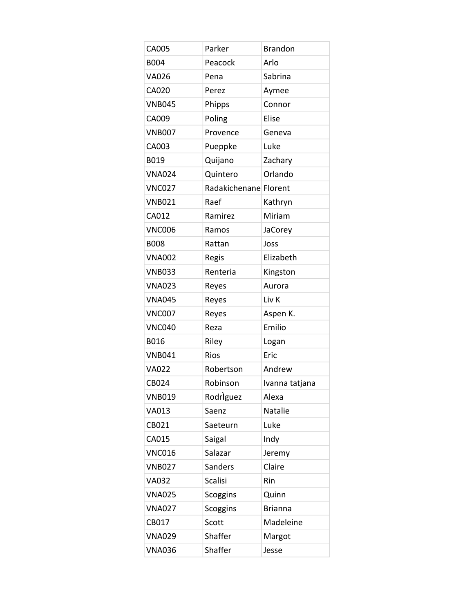| CA005         | Parker                | <b>Brandon</b> |
|---------------|-----------------------|----------------|
| B004          | Peacock               | Arlo           |
| <b>VA026</b>  | Pena                  | Sabrina        |
| CA020         | Perez                 | Aymee          |
| <b>VNB045</b> | Phipps                | Connor         |
| CA009         | Poling                | Elise          |
| <b>VNB007</b> | Provence              | Geneva         |
| CA003         | Pueppke               | Luke           |
| B019          | Quijano               | Zachary        |
| <b>VNA024</b> | Quintero              | Orlando        |
| <b>VNC027</b> | Radakichenane Florent |                |
| <b>VNB021</b> | Raef                  | Kathryn        |
| CA012         | Ramirez               | Miriam         |
| <b>VNC006</b> | Ramos                 | <b>JaCorey</b> |
| <b>B008</b>   | Rattan                | Joss           |
| <b>VNA002</b> | Regis                 | Elizabeth      |
| <b>VNB033</b> | Renteria              | Kingston       |
| <b>VNA023</b> | Reyes                 | Aurora         |
| <b>VNA045</b> | Reyes                 | Liv K          |
| <b>VNC007</b> | Reyes                 | Aspen K.       |
| <b>VNC040</b> | Reza                  | Emilio         |
| B016          | Riley                 | Logan          |
| <b>VNB041</b> | <b>Rios</b>           | Eric           |
| <b>VA022</b>  | Robertson             | Andrew         |
| CB024         | Robinson              | Ivanna tatjana |
| <b>VNB019</b> | Rodriguez             | Alexa          |
| VA013         | Saenz                 | Natalie        |
| CB021         | Saeteurn              | Luke           |
| CA015         | Saigal                | Indy           |
| <b>VNC016</b> | Salazar               | Jeremy         |
| <b>VNB027</b> | Sanders               | Claire         |
| <b>VA032</b>  | <b>Scalisi</b>        | Rin            |
| <b>VNA025</b> | <b>Scoggins</b>       | Quinn          |
| <b>VNA027</b> | <b>Scoggins</b>       | <b>Brianna</b> |
| CB017         | Scott                 | Madeleine      |
| <b>VNA029</b> | Shaffer               | Margot         |
| <b>VNA036</b> | Shaffer               | Jesse          |